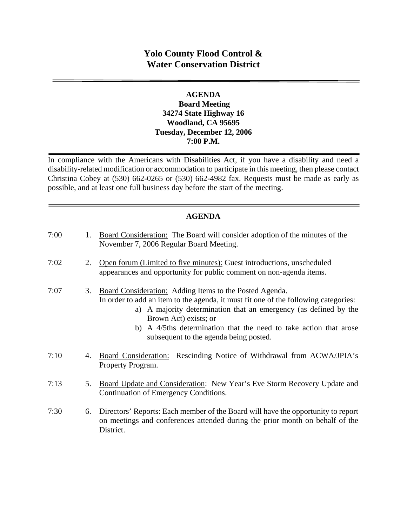# **Yolo County Flood Control & Water Conservation District**

#### **AGENDA Board Meeting 34274 State Highway 16 Woodland, CA 95695 Tuesday, December 12, 2006 7:00 P.M.**

In compliance with the Americans with Disabilities Act, if you have a disability and need a disability-related modification or accommodation to participate in this meeting, then please contact Christina Cobey at (530) 662-0265 or (530) 662-4982 fax. Requests must be made as early as possible, and at least one full business day before the start of the meeting.

### **AGENDA**

| 7:00 | 1. | Board Consideration: The Board will consider adoption of the minutes of the<br>November 7, 2006 Regular Board Meeting.                                                                                                                                                                                                                                     |
|------|----|------------------------------------------------------------------------------------------------------------------------------------------------------------------------------------------------------------------------------------------------------------------------------------------------------------------------------------------------------------|
| 7:02 | 2. | Open forum (Limited to five minutes): Guest introductions, unscheduled<br>appearances and opportunity for public comment on non-agenda items.                                                                                                                                                                                                              |
| 7:07 | 3. | Board Consideration: Adding Items to the Posted Agenda.<br>In order to add an item to the agenda, it must fit one of the following categories:<br>a) A majority determination that an emergency (as defined by the<br>Brown Act) exists; or<br>b) A 4/5ths determination that the need to take action that arose<br>subsequent to the agenda being posted. |
| 7:10 | 4. | Board Consideration: Rescinding Notice of Withdrawal from ACWA/JPIA's<br>Property Program.                                                                                                                                                                                                                                                                 |
| 7:13 | 5. | Board Update and Consideration: New Year's Eve Storm Recovery Update and<br>Continuation of Emergency Conditions.                                                                                                                                                                                                                                          |
| 7:30 | 6. | Directors' Reports: Each member of the Board will have the opportunity to report<br>on meetings and conferences attended during the prior month on behalf of the<br>District.                                                                                                                                                                              |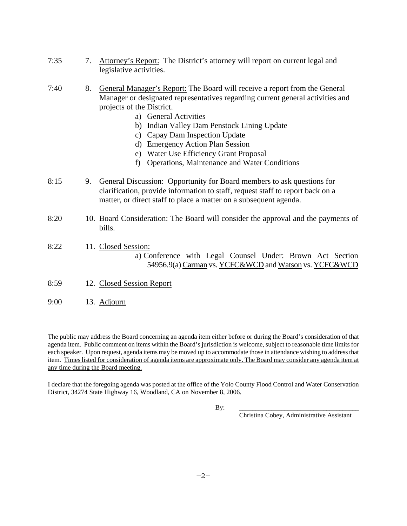- 7:35 7. Attorney's Report: The District's attorney will report on current legal and legislative activities.
- 7:40 8. General Manager's Report: The Board will receive a report from the General Manager or designated representatives regarding current general activities and projects of the District.
	- a) General Activities
	- b) Indian Valley Dam Penstock Lining Update
	- c) Capay Dam Inspection Update
	- d) Emergency Action Plan Session
	- e) Water Use Efficiency Grant Proposal
	- f) Operations, Maintenance and Water Conditions
- 8:15 9. General Discussion: Opportunity for Board members to ask questions for clarification, provide information to staff, request staff to report back on a matter, or direct staff to place a matter on a subsequent agenda.
- 8:20 10. Board Consideration: The Board will consider the approval and the payments of bills.

#### 8:22 11. Closed Session: a) Conference with Legal Counsel Under: Brown Act Section 54956.9(a) Carman vs. YCFC&WCD and Watson vs. YCFC&WCD

- 8:59 12. Closed Session Report
- 9:00 13. Adjourn

The public may address the Board concerning an agenda item either before or during the Board's consideration of that agenda item. Public comment on items within the Board's jurisdiction is welcome, subject to reasonable time limits for each speaker. Upon request, agenda items may be moved up to accommodate those in attendance wishing to address that item. Times listed for consideration of agenda items are approximate only. The Board may consider any agenda item at any time during the Board meeting.

I declare that the foregoing agenda was posted at the office of the Yolo County Flood Control and Water Conservation District, 34274 State Highway 16, Woodland, CA on November 8, 2006.

By: \_\_\_\_\_\_\_\_\_\_\_\_\_\_\_\_\_\_\_\_\_\_\_\_\_\_\_\_\_\_\_\_\_\_\_\_\_

Christina Cobey, Administrative Assistant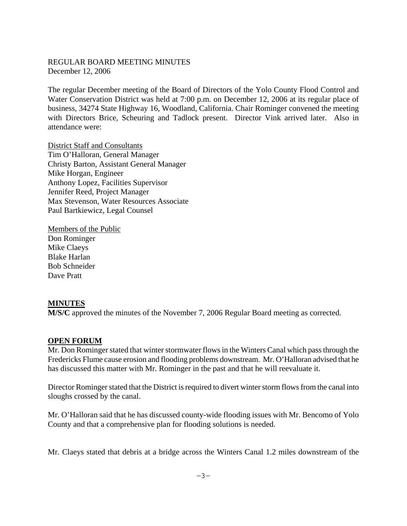#### REGULAR BOARD MEETING MINUTES December 12, 2006

The regular December meeting of the Board of Directors of the Yolo County Flood Control and Water Conservation District was held at 7:00 p.m. on December 12, 2006 at its regular place of business, 34274 State Highway 16, Woodland, California. Chair Rominger convened the meeting with Directors Brice, Scheuring and Tadlock present. Director Vink arrived later. Also in attendance were:

District Staff and Consultants Tim O'Halloran, General Manager Christy Barton, Assistant General Manager Mike Horgan, Engineer Anthony Lopez, Facilities Supervisor Jennifer Reed, Project Manager Max Stevenson, Water Resources Associate Paul Bartkiewicz, Legal Counsel

Members of the Public Don Rominger Mike Claeys Blake Harlan Bob Schneider Dave Pratt

#### **MINUTES**

**M/S/C** approved the minutes of the November 7, 2006 Regular Board meeting as corrected.

#### **OPEN FORUM**

Mr. Don Rominger stated that winter stormwater flows in the Winters Canal which pass through the Fredericks Flume cause erosion and flooding problems downstream. Mr. O'Halloran advised that he has discussed this matter with Mr. Rominger in the past and that he will reevaluate it.

Director Rominger stated that the District is required to divert winter storm flows from the canal into sloughs crossed by the canal.

Mr. O'Halloran said that he has discussed county-wide flooding issues with Mr. Bencomo of Yolo County and that a comprehensive plan for flooding solutions is needed.

Mr. Claeys stated that debris at a bridge across the Winters Canal 1.2 miles downstream of the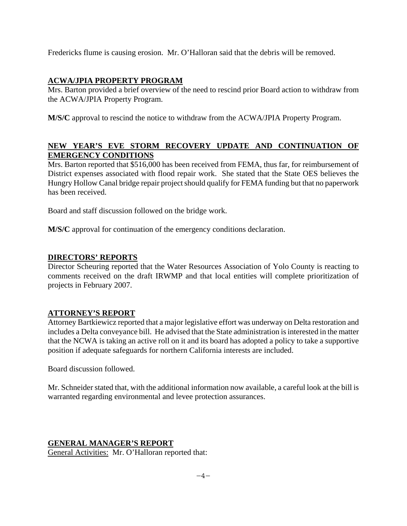Fredericks flume is causing erosion. Mr. O'Halloran said that the debris will be removed.

# **ACWA/JPIA PROPERTY PROGRAM**

Mrs. Barton provided a brief overview of the need to rescind prior Board action to withdraw from the ACWA/JPIA Property Program.

**M/S/C** approval to rescind the notice to withdraw from the ACWA/JPIA Property Program.

# **NEW YEAR'S EVE STORM RECOVERY UPDATE AND CONTINUATION OF EMERGENCY CONDITIONS**

Mrs. Barton reported that \$516,000 has been received from FEMA, thus far, for reimbursement of District expenses associated with flood repair work. She stated that the State OES believes the Hungry Hollow Canal bridge repair project should qualify for FEMA funding but that no paperwork has been received.

Board and staff discussion followed on the bridge work.

**M/S/C** approval for continuation of the emergency conditions declaration.

# **DIRECTORS' REPORTS**

Director Scheuring reported that the Water Resources Association of Yolo County is reacting to comments received on the draft IRWMP and that local entities will complete prioritization of projects in February 2007.

### **ATTORNEY'S REPORT**

Attorney Bartkiewicz reported that a major legislative effort was underway on Delta restoration and includes a Delta conveyance bill. He advised that the State administration is interested in the matter that the NCWA is taking an active roll on it and its board has adopted a policy to take a supportive position if adequate safeguards for northern California interests are included.

Board discussion followed.

Mr. Schneider stated that, with the additional information now available, a careful look at the bill is warranted regarding environmental and levee protection assurances.

### **GENERAL MANAGER'S REPORT**

General Activities: Mr. O'Halloran reported that: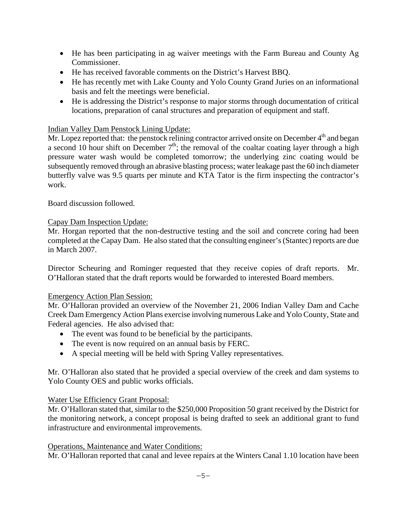- He has been participating in ag waiver meetings with the Farm Bureau and County Ag Commissioner.
- He has received favorable comments on the District's Harvest BBQ.
- He has recently met with Lake County and Yolo County Grand Juries on an informational basis and felt the meetings were beneficial.
- He is addressing the District's response to major storms through documentation of critical locations, preparation of canal structures and preparation of equipment and staff.

#### Indian Valley Dam Penstock Lining Update:

Mr. Lopez reported that: the penstock relining contractor arrived onsite on December  $4<sup>th</sup>$  and began a second 10 hour shift on December  $7<sup>th</sup>$ ; the removal of the coaltar coating layer through a high pressure water wash would be completed tomorrow; the underlying zinc coating would be subsequently removed through an abrasive blasting process; water leakage past the 60 inch diameter butterfly valve was 9.5 quarts per minute and KTA Tator is the firm inspecting the contractor's work.

Board discussion followed.

#### Capay Dam Inspection Update:

Mr. Horgan reported that the non-destructive testing and the soil and concrete coring had been completed at the Capay Dam. He also stated that the consulting engineer's (Stantec) reports are due in March 2007.

Director Scheuring and Rominger requested that they receive copies of draft reports. Mr. O'Halloran stated that the draft reports would be forwarded to interested Board members.

#### Emergency Action Plan Session:

Mr. O'Halloran provided an overview of the November 21, 2006 Indian Valley Dam and Cache Creek Dam Emergency Action Plans exercise involving numerous Lake and Yolo County, State and Federal agencies. He also advised that:

- The event was found to be beneficial by the participants.
- The event is now required on an annual basis by FERC.
- A special meeting will be held with Spring Valley representatives.

Mr. O'Halloran also stated that he provided a special overview of the creek and dam systems to Yolo County OES and public works officials.

### Water Use Efficiency Grant Proposal:

Mr. O'Halloran stated that, similar to the \$250,000 Proposition 50 grant received by the District for the monitoring network, a concept proposal is being drafted to seek an additional grant to fund infrastructure and environmental improvements.

#### Operations, Maintenance and Water Conditions:

Mr. O'Halloran reported that canal and levee repairs at the Winters Canal 1.10 location have been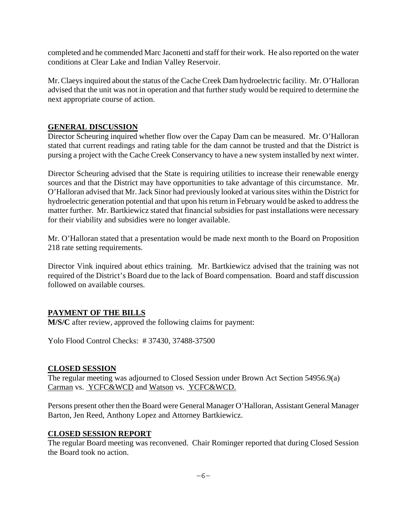completed and he commended Marc Jaconetti and staff for their work. He also reported on the water conditions at Clear Lake and Indian Valley Reservoir.

Mr. Claeys inquired about the status of the Cache Creek Dam hydroelectric facility. Mr. O'Halloran advised that the unit was not in operation and that further study would be required to determine the next appropriate course of action.

## **GENERAL DISCUSSION**

Director Scheuring inquired whether flow over the Capay Dam can be measured. Mr. O'Halloran stated that current readings and rating table for the dam cannot be trusted and that the District is pursing a project with the Cache Creek Conservancy to have a new system installed by next winter.

Director Scheuring advised that the State is requiring utilities to increase their renewable energy sources and that the District may have opportunities to take advantage of this circumstance. Mr. O'Halloran advised that Mr. Jack Sinor had previously looked at various sites within the District for hydroelectric generation potential and that upon his return in February would be asked to address the matter further. Mr. Bartkiewicz stated that financial subsidies for past installations were necessary for their viability and subsidies were no longer available.

Mr. O'Halloran stated that a presentation would be made next month to the Board on Proposition 218 rate setting requirements.

Director Vink inquired about ethics training. Mr. Bartkiewicz advised that the training was not required of the District's Board due to the lack of Board compensation. Board and staff discussion followed on available courses.

### **PAYMENT OF THE BILLS**

**M/S/C** after review, approved the following claims for payment:

Yolo Flood Control Checks: # 37430, 37488-37500

### **CLOSED SESSION**

The regular meeting was adjourned to Closed Session under Brown Act Section 54956.9(a) Carman vs. YCFC&WCD and Watson vs. YCFC&WCD.

Persons present other then the Board were General Manager O'Halloran, Assistant General Manager Barton, Jen Reed, Anthony Lopez and Attorney Bartkiewicz.

### **CLOSED SESSION REPORT**

The regular Board meeting was reconvened. Chair Rominger reported that during Closed Session the Board took no action.